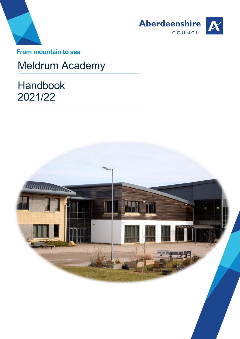



**From mountain to sea**

# Meldrum Academy

Handbook 2021/22

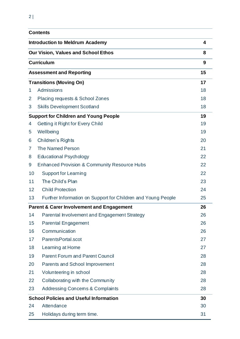|    | <b>Contents</b>                                              |    |
|----|--------------------------------------------------------------|----|
|    | <b>Introduction to Meldrum Academy</b>                       | 4  |
|    | <b>Our Vision, Values and School Ethos</b>                   | 8  |
|    | <b>Curriculum</b>                                            | 9  |
|    | <b>Assessment and Reporting</b>                              | 15 |
|    | <b>Transitions (Moving On)</b>                               | 17 |
| 1  | <b>Admissions</b>                                            | 18 |
| 2  | Placing requests & School Zones                              | 18 |
| 3  | <b>Skills Development Scotland</b>                           | 18 |
|    | <b>Support for Children and Young People</b>                 | 19 |
| 4  | Getting it Right for Every Child                             | 19 |
| 5  | Wellbeing                                                    | 19 |
| 6  | <b>Children's Rights</b>                                     | 20 |
| 7  | <b>The Named Person</b>                                      | 21 |
| 8  | <b>Educational Psychology</b>                                | 22 |
| 9  | <b>Enhanced Provision &amp; Community Resource Hubs</b>      | 22 |
| 10 | <b>Support for Learning</b>                                  | 22 |
| 11 | The Child's Plan                                             | 23 |
| 12 | <b>Child Protection</b>                                      | 24 |
| 13 | Further Information on Support for Children and Young People | 25 |
|    | <b>Parent &amp; Carer Involvement and Engagement</b>         | 26 |
| 14 | Parental Involvement and Engagement Strategy                 | 26 |
| 15 | Parental Engagement                                          | 26 |
| 16 | Communication                                                | 26 |
| 17 | ParentsPortal.scot                                           | 27 |
| 18 | Learning at Home                                             | 27 |
| 19 | <b>Parent Forum and Parent Council</b>                       | 28 |
| 20 | Parents and School Improvement                               | 28 |
| 21 | Volunteering in school                                       | 28 |
| 22 | Collaborating with the Community                             | 28 |
| 23 | <b>Addressing Concems &amp; Complaints</b>                   | 28 |
|    | <b>School Policies and Useful Information</b>                | 30 |
| 24 | Attendance                                                   | 30 |
| 25 | Holidays during term time.                                   | 31 |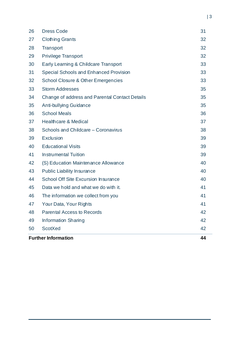|    | <b>Further Information</b>                     | 44 |
|----|------------------------------------------------|----|
| 50 | <b>ScotXed</b>                                 | 42 |
| 49 | <b>Information Sharing</b>                     | 42 |
| 48 | <b>Parental Access to Records</b>              | 42 |
| 47 | Your Data, Your Rights                         | 41 |
| 46 | The information we collect from you            | 41 |
| 45 | Data we hold and what we do with it.           | 41 |
| 44 | <b>School Off Site Excursion Insurance</b>     | 40 |
| 43 | <b>Public Liability Insurance</b>              | 40 |
| 42 | (S) Education Maintenance Allowance            | 40 |
| 41 | <b>Instrumental Tuition</b>                    | 39 |
| 40 | <b>Educational Visits</b>                      | 39 |
| 39 | <b>Exclusion</b>                               | 39 |
| 38 | Schools and Childcare - Coronavirus            | 38 |
| 37 | <b>Healthcare &amp; Medical</b>                | 37 |
| 36 | <b>School Meals</b>                            | 36 |
| 35 | Anti-bullying Guidance                         | 35 |
| 34 | Change of address and Parental Contact Details | 35 |
| 33 | <b>Storm Addresses</b>                         | 35 |
| 32 | <b>School Closure &amp; Other Emergencies</b>  | 33 |
| 31 | <b>Special Schools and Enhanced Provision</b>  | 33 |
| 30 | Early Learning & Childcare Transport           | 33 |
| 29 | <b>Privilege Transport</b>                     | 32 |
| 28 | <b>Transport</b>                               | 32 |
| 27 | <b>Clothing Grants</b>                         | 32 |
| 26 | <b>Dress Code</b>                              | 31 |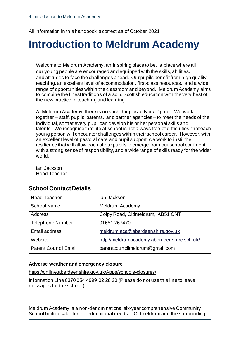All information in this handbook is correct as of October 2021

# **Introduction to Meldrum Academy**

Welcome to Meldrum Academy, an inspiring place to be, a place where all our young people are encouraged and equipped with the skills, abilities, and attitudes to face the challenges ahead. Our pupils benefit from high quality teaching, an excellent level of accommodation, first-class resources, and a wide range of opportunities within the classroom and beyond. Meldrum Academy aims to combine the finest traditions of a solid Scottish education with the very best of the new practice in teaching and learning.

At Meldrum Academy, there is no such thing as a 'typical' pupil. We work together – staff, pupils, parents, and partner agencies – to meet the needs of the individual, so that every pupil can develop his or her personal skills and talents. We recognise that life at school is not always free of difficulties, that each young person will encounter challenges within their school career. However, with an excellent level of pastoral care and pupil support, we work to instil the resilience that will allow each of our pupils to emerge from our school confident, with a strong sense of responsibility, and a wide range of skills ready for the wider world.

Ian Jackson Head Teacher

| <b>Head Teacher</b>         | lan Jackson                                 |
|-----------------------------|---------------------------------------------|
| <b>School Name</b>          | Meldrum Academy                             |
| <b>Address</b>              | Colpy Road, Oldmeldrum, AB51 ONT            |
| <b>Telephone Number</b>     | 01651 267470                                |
| <b>Email address</b>        | meldrum.aca@aberdeenshire.gov.uk            |
| Website                     | http://meldrumacademy.aberdeenshire.sch.uk/ |
| <b>Parent Council Email</b> | parentcouncilmeldrum@gmail.com              |

# **School Contact Details**

#### **Adverse weather and emergency closure**

https://online.aberdeenshire.gov.uk/Apps/schools-closures/

Information Line 0370 054 4999 02 28 20 (Please do not use this line to leave messages for the school.)

Meldrum Academy is a non-denominational six-year comprehensive Community School built to cater for the educational needs of Oldmeldrum and the surrounding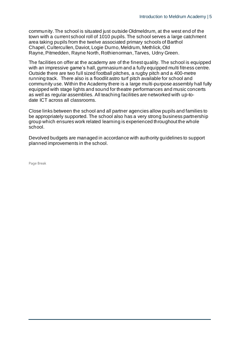community. The school is situated just outside Oldmeldrum, at the west end of the town with a current school roll of 1010 pupils. The school serves a large catchment area taking pupils from the twelve associated primary schools of Barthol Chapel, Cultercullen, Daviot, Logie Durno, Meldrum, Methlick, Old Rayne, Pitmedden, Rayne North, Rothienorman, Tarves, Udny Green.

The facilities on offer at the academy are of the finest quality. The school is equipped with an impressive game's hall, gymnasium and a fully equipped multi fitness centre. Outside there are two full sized football pitches, a rugby pitch and a 400-metre running track. There also is a floodlit astro turf pitch available for school and community use. Within the Academy there is a large multi-purpose assembly hall fully equipped with stage lights and sound for theatre performances and music concerts as well as regular assemblies. All teaching facilities are networked with up-todate ICT across all classrooms.

Close links between the school and all partner agencies allow pupils and families to be appropriately supported. The school also has a very strong business partnership group which ensures work related learning is experienced throughout the whole school.

Devolved budgets are managed in accordance with authority guidelines to support planned improvements in the school.

Page Break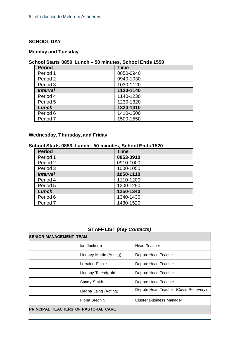#### **SCHOOL DAY**

# **Monday and Tuesday**

# **School Starts 0850, Lunch – 50 minutes, School Ends 1550**

| <b>Period</b>       | <b>Time</b> |
|---------------------|-------------|
| Period 1            | 0850-0940   |
| Period 2            | 0940-1030   |
| Period 3            | 1030-1120   |
| <b>Interval</b>     | 1120-1140   |
| Period 4            | 1140-1230   |
| Period 5            | 1230-1320   |
| Lunch               | 1320-1410   |
| Period 6            | 1410-1500   |
| Period <sub>7</sub> | 1500-1550   |

# **Wednesday, Thursday, and Friday**

# **School Starts 0853, Lunch - 50 minutes, School Ends 1520**

| <b>Period</b>       | <b>Time</b> |
|---------------------|-------------|
| Period 1            | 0853-0910   |
| Period 2            | 0910-1000   |
| Period 3            | 1000-1050   |
| <b>Interval</b>     | 1050-1110   |
| Period 4            | 1110-1200   |
| Period 5            | 1200-1250   |
| Lunch               | 1250-1340   |
| Period 6            | 1340-1430   |
| Period <sub>7</sub> | 1430-1520   |

# **STAFF LIST** *(Key Contacts)*

| <b>SENIOR MANAGEMENT TEAM</b>              |                    |                                      |  |
|--------------------------------------------|--------------------|--------------------------------------|--|
| llan Jackson<br><b>Head Teacher</b>        |                    |                                      |  |
| Lindsey Martin (Acting)                    |                    | Depute Head Teacher                  |  |
| Lorraine Finnie<br>Depute Head Teacher     |                    |                                      |  |
|                                            | Lindsay Threadgold | Depute Head Teacher                  |  |
|                                            | Sandy Smith        | Depute Head Teacher                  |  |
| Liegha Laing (Acting)                      |                    | Depute Head Teacher (Covid Recovery) |  |
|                                            | Fiona Brechin      | <b>Cluster Business Manager</b>      |  |
| <b>PRINCIPAL TEACHERS OF PASTORAL CARE</b> |                    |                                      |  |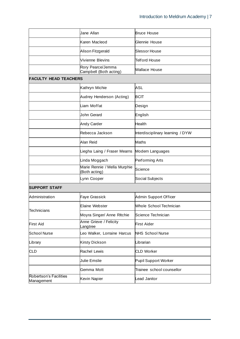|                                      | Jane Allan                                    | <b>Bruce House</b>               |
|--------------------------------------|-----------------------------------------------|----------------------------------|
|                                      | Karen Macleod                                 | Glennie House                    |
|                                      | Alison Fitzgerald                             | Slessor House                    |
|                                      | Vivienne Blevins                              | Telford House                    |
|                                      | Rory Pearce/Jemma<br>Campbell (Both acting)   | <b>Wallace House</b>             |
| <b>FACULTY HEAD TEACHERS</b>         |                                               |                                  |
|                                      | Kathryn Michie                                | ASL                              |
|                                      | Audrey Henderson (Acting)                     | <b>BCIT</b>                      |
|                                      | Liam Moffat                                   | Design                           |
|                                      | John Gerard                                   | English                          |
|                                      | <b>Andy Carder</b>                            | Health                           |
|                                      | Rebecca Jackson                               | Interdisciplinary learning / DYW |
|                                      | Alan Reid                                     | Maths                            |
|                                      | Liegha Laing / Fraser Mearns                  | Modern Languages                 |
|                                      | Linda Moggach                                 | Performing Arts                  |
|                                      | Marie Rennie / Mella Murphie<br>(Both acting) | Science                          |
|                                      | Lynn Cooper                                   | Social Subjects                  |
| <b>SUPPORT STAFF</b>                 |                                               |                                  |
| Administration                       | <b>Faye Grassick</b>                          | Admin Support Officer            |
| Technicians                          | <b>Elaine Webster</b>                         | Whole School Technician          |
|                                      | Moyra Singer/ Anne Ritchie                    | Science Technician               |
| <b>First Aid</b>                     | Anne Grieve / Felicity<br>Langtree            | <b>First Aider</b>               |
| School Nurse                         | Leo Walker, Lorraine Harcus                   | <b>NHS School Nurse</b>          |
| Library                              | <b>Kirsty Dickson</b>                         | Librarian                        |
| <b>CLD</b>                           | Rachel Lewis                                  | <b>CLD Worker</b>                |
|                                      | Julie Emslie                                  | Pupil Support Worker             |
|                                      | Gemma Mott                                    | Trainee school counsellor        |
| Robertson's Facilities<br>Management | Kevin Napier                                  | Lead Janitor                     |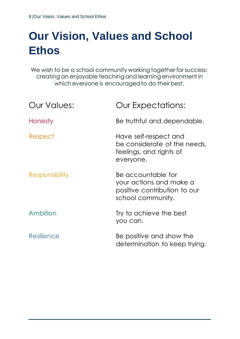# **Our Vision, Values and School Ethos**

We wish to be a school community working together for success: creating an enjoyable teaching and learning environment in which everyone is encouraged to do their best.

| <b>Our Values:</b>    | <b>Our Expectations:</b>                                                                           |
|-----------------------|----------------------------------------------------------------------------------------------------|
| Honesty               | Be truthful and dependable.                                                                        |
| Respect               | Have self-respect and<br>be considerate of the needs,<br>feelings, and rights of<br>everyone.      |
| <b>Responsibility</b> | Be accountable for<br>your actions and make a<br>positive contribution to our<br>school community. |
| Ambition              | Try to achieve the best<br>you can.                                                                |
| Resilience            | Be positive and show the<br>determination to keep trying.                                          |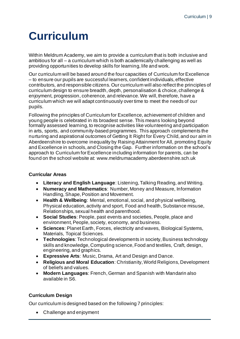# **Curriculum**

Within Meldrum Academy, we aim to provide a curriculum that is both inclusive and ambitious for all – a curriculum which is both academically challenging as well as providing opportunities to develop skills for learning, life and work.

Our curriculum will be based around the four capacities of Curriculum for Excellence – to ensure our pupils are successful learners, confident individuals, effective contributors, and responsible citizens. Our curriculum will also reflect the principles of curriculum design to ensure breadth, depth, personalisation & choice, challenge & enjoyment, progression, coherence, and relevance. We will, therefore, have a curriculum which we will adapt continuously over time to meet the needs of our pupils.

Following the principles of Curriculum for Excellence, achievement of children and young people is celebrated in its broadest sense. This means looking beyond formally assessed learning, to recognise activities like volunteering and participation in arts, sports, and community-based programmes. This approach complements the nurturing and aspirational outcomes of Getting It Right for Every Child, and our aim in Aberdeenshire to overcome inequality by Raising Attainment for All, promoting Equity and Excellence in schools, and Closing the Gap. Further information on the school's approach to Curriculum for Excellence including information for parents, can be found on the school website at: www.meldrumacademy.aberdeenshire.sch.uk

### **Curricular Areas**

- **Literacy and English Language**: Listening, Talking Reading, and Writing.
- **Numeracy and Mathematics**: Number, Money and Measure, Information Handling, Shape, Position and Movement.
- **Health & Wellbeing**: Mental, emotional, social, and physical wellbeing, Physical education, activity and sport, Food and health, Substance misuse, Relationships, sexual health and parenthood.
- **Social Studies**: People, past events and societies, People, place and environment, People, society, economy, and business.
- **Sciences**: Planet Earth, Forces, electricity and waves, Biological Systems, Materials, Topical Sciences.
- **Technologies**: Technological developments in society, Business technology skills and knowledge, Computing science, Food and textiles, Craft, design, engineering, and graphics.
- **Expressive Arts**: Music, Drama, Art and Design and Dance.
- **Religious and Moral Education**: Christianity, World Religions, Development of beliefs and values.
- **Modern Languages**: French, German and Spanish with Mandarin also available in S6.

### **Curriculum Design**

Our curriculum is designed based on the following 7 principles:

• Challenge and enjoyment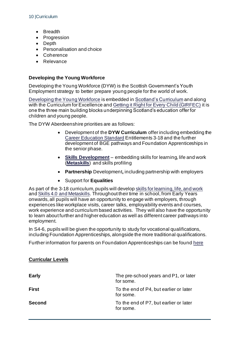- **Breadth**
- Progression
- Depth
- Personalisation and choice
- Coherence
- Relevance

#### **Developing the Young Workforce**

Developing the Young Workforce (DYW) is the Scottish Government's Youth Employment strategy to better prepare young people for the world of work.

Developing the Young Workforce is embedded in Scotland's Curriculum and along with the Curriculum for Excellence and Getting it Right for Every Child (GIRFEC) it is one the three main building blocks underpinning Scotland's education offer for children and young people.

The DYW Aberdeenshire priorities are as follows:

- Development of the **DYW Curriculum** offer including embedding the Career Education Standard Entitlements 3-18 and the further development of BGE pathways and Foundation Apprenticeships in the senior phase.
- **Skills Development** embedding skills for learning, life and work (**Metaskills**) and skills profiling
- **Partnership** Development**,** including partnership with employers
- Support for **Equalities**

As part of the 3-18 curriculum, pupils will develop skills for learning, life, and work and Skills 4.0 and Metaskills. Throughout their time in school, from Early Years onwards, all pupils will have an opportunity to engage with employers, through experiences like workplace visits, career talks, employability events and courses, work experience and curriculum based activities. They will also have the opportunity to learn about further and higher education as well as different career pathways into employment.

In S4-6, pupils will be given the opportunity to study for vocational qualifications, including Foundation Apprenticeships, alongside the more traditional qualifications.

Further information for parents on Foundation Apprenticeships can be found here

| <b>Early</b>  | The pre-school years and P1, or later<br>for some.  |
|---------------|-----------------------------------------------------|
| <b>First</b>  | To the end of P4, but earlier or later<br>for some. |
| <b>Second</b> | To the end of P7, but earlier or later<br>for some. |

#### **Curricular Levels**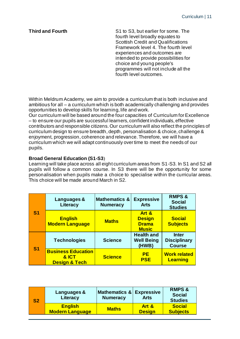**Third and Fourth S1 to S3, but earlier for some. The** fourth level broadly equates to Scottish Credit and Qualifications Framework level 4. The fourth level experiences and outcomes are intended to provide possibilities for choice and young people's programmes will not include all the fourth level outcomes.

Within Meldrum Academy, we aim to provide a curriculum that is both inclusive and ambitious for all – a curriculum which is both academically challenging and provides opportunities to develop skills for learning, life and work.

Our curriculum will be based around the four capacities of Curriculum for Excellence – to ensure our pupils are successful learners, confident individuals, effective contributors and responsible citizens. Our curriculum will also reflect the principles of curriculum design to ensure breadth, depth, personalisation & choice, challenge & enjoyment, progression, coherence and relevance. Therefore, we will have a curriculum which we will adapt continuously over time to meet the needs of our pupils.

#### **Broad General Education (S1-S3**)

Learning will take place across all eight curriculum areas from S1-S3. In S1 and S2 all pupils will follow a common course. In S3 there will be the opportunity for some personalisation when pupils make a choice to specialise within the curricular areas. This choice will be made around March in S2.

|                | Languages &<br>Literacy                                        | <b>Mathematics &amp;</b><br><b>Numeracy</b> | <b>Expressive</b><br><b>Arts</b>                       | <b>RMPS &amp;</b><br><b>Social</b><br><b>Studies</b> |
|----------------|----------------------------------------------------------------|---------------------------------------------|--------------------------------------------------------|------------------------------------------------------|
| S <sub>1</sub> | <b>English</b><br><b>Modern Language</b>                       | <b>Maths</b>                                | Art &<br><b>Design</b><br><b>Drama</b><br><b>Music</b> | <b>Social</b><br><b>Subjects</b>                     |
| S <sub>1</sub> | <b>Technologies</b>                                            | <b>Science</b>                              | <b>Health and</b><br><b>Well Being</b><br>(HWB)        | Inter<br><b>Disciplinary</b><br><b>Course</b>        |
|                | <b>Business Education</b><br>& ICT<br><b>Design &amp; Tech</b> | <b>Science</b>                              | <b>PE</b><br><b>PSE</b>                                | <b>Work related</b><br><b>Learning</b>               |

| S <sub>2</sub> | Languages &<br>Literacy                  | <b>Mathematics &amp; Expressive</b><br><b>Numeracy</b> | <b>Arts</b>            | <b>RMPS &amp;</b><br><b>Social</b><br><b>Studies</b> |
|----------------|------------------------------------------|--------------------------------------------------------|------------------------|------------------------------------------------------|
|                | <b>English</b><br><b>Modern Language</b> | <b>Maths</b>                                           | Art &<br><b>Design</b> | <b>Social</b><br><b>Subjects</b>                     |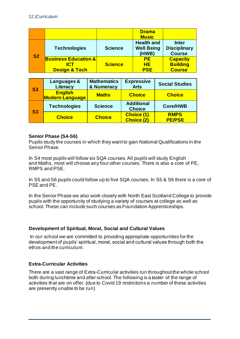|           |                                                                     |                | <b>Drama</b><br><b>Music</b>                    |                                                      |
|-----------|---------------------------------------------------------------------|----------------|-------------------------------------------------|------------------------------------------------------|
| <b>S2</b> | <b>Technologies</b>                                                 | <b>Science</b> | <b>Health and</b><br><b>Well Being</b><br>(HWB) | <b>Inter</b><br><b>Disciplinary</b><br><b>Course</b> |
|           | <b>Business Education &amp;</b><br>IC.T<br><b>Design &amp; Tech</b> | <b>Science</b> | <b>PE</b><br>HE.<br><b>PSE</b>                  | <b>Capacity</b><br><b>Building</b><br><b>Course</b>  |

| <b>S3</b> | Languages &<br>Literacy                  | <b>Mathematics</b><br>& Numeracy | <b>Expressive</b><br><b>Arts</b>       | <b>Social Studies</b>        |
|-----------|------------------------------------------|----------------------------------|----------------------------------------|------------------------------|
|           | <b>English</b><br><b>Modern Language</b> | <b>Maths</b>                     | <b>Choice</b>                          | <b>Choice</b>                |
| <b>S3</b> | <b>Technologies</b>                      | <b>Science</b>                   | <b>Additional</b><br><b>Choice</b>     | <b>Core/HWB</b>              |
|           | <b>Choice</b>                            | <b>Choice</b>                    | <b>Choice (1)</b><br><b>Choice (2)</b> | <b>RMPS</b><br><b>PE/PSE</b> |

#### **Senior Phase (S4-S6)**

Pupils study the courses in which they want to gain National Qualifications in the Senior Phase.

In S4 most pupils will follow six SQA courses. All pupils will study English and Maths, most will choose any four other courses. There is also a core of PE, RMPS and PSE.

In S5 and S6 pupils could follow up to five SQA courses. In S5 & S6 there is a core of PSE and PE.

In the Senior Phase we also work closely with North East Scotland College to provide pupils with the opportunity of studying a variety of courses at college as well as school. These can include such courses as Foundation Apprenticeships.

### **Development of Spiritual, Moral, Social and Cultural Values**

In our school we are committed to providing appropriate opportunities for the development of pupils' spiritual, moral, social and cultural values through both the ethos and the curriculum.

#### **Extra-Curricular Activities**

There are a vast range of Extra-Curricular activities run throughout the whole school both during lunchtime and after school. The following is a taster of the range of activities that are on offer. (due to Covid 19 restrictions a number of these activities are presently unable to be run)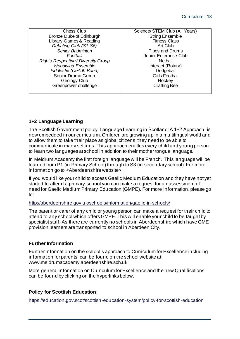Chess Club Bronze Duke of Edinburgh Library Games & Reading *Debating Club (S1-S6) Senior Badminton Football Rights Respecting / Diversity Group Woodwind Ensemble Fiddlestix (Ceilidh Band)* Senior Drama Group Geology Club Greenpower challenge Science/ STEM Club (All Years) String Ensemble Fitness Class Art Club Pipes and Drums Junior Enterprise Club **Netball** Interact (Rotary) **Dodgeball** Girls Football **Hockey** Crafting Bee

# **1+2 Language Learning**

The Scottish Government policy 'Language Learning in Scotland: A 1+2 Approach' is now embedded in our curriculum. Children are growing up in a multilingual world and to allow them to take their place as global citizens, they need to be able to communicate in many settings. This approach entitles every child and young person to learn two languages at school in addition to their mother tongue language.

In Meldrum Academy the first foreign language will be French. This language will be learned from P1 (in Primary School) through to S3 (in secondary school). For more information go to <Aberdeenshire website>

If you would like your child to access Gaelic Medium Education and they have not yet started to attend a primary school you can make a request for an assessment of need for Gaelic Medium Primary Education (GMPE). For more information, please go to:

#### http://aberdeenshire.gov.uk/schools/information/gaelic-in-schools/

The parent or carer of any child or young person can make a request for their child to attend to any school which offers GMPE. This will enable your child to be taught by specialist staff. As there are currently no schools in Aberdeenshire which have GME provision learners are transported to school in Aberdeen City.

### **Further Information**

Further information on the school's approach to Curriculum for Excellence including information for parents, can be found on the school website at: www.meldrumacademy.aberdeenshire.sch.uk

More general information on Curriculum for Excellence and the new Qualifications can be found by clicking on the hyperlinks below.

### **Policy for Scottish Education**:

https://education.gov.scot/scottish-education-system/policy-for-scottish-education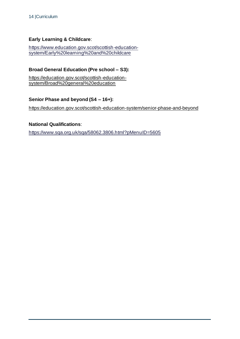# **Early Learning & Childcare**:

https://www.education.gov.scot/scottish-educationsystem/Early%20learning%20and%20childcare

# **Broad General Education (Pre school – S3):**

https://education.gov.scot/scottish-educationsystem/Broad%20general%20education

### **Senior Phase and beyond (S4 – 16+):**

https://education.gov.scot/scottish-education-system/senior-phase-and-beyond

#### **National Qualifications**:

https://www.sqa.org.uk/sqa/58062.3806.html?pMenuID=5605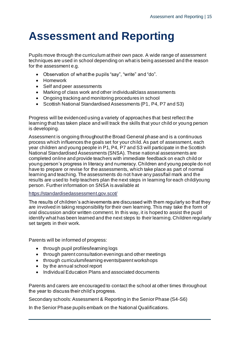# **Assessment and Reporting**

Pupils move through the curriculum at their own pace. A wide range of assessment techniques are used in school depending on what is being assessed and the reason for the assessment e.g.

- Observation of what the pupils "say", "write" and "do".
- Homework
- Self and peer assessments
- Marking of class work and other individual/class assessments
- Ongoing tracking and monitoring procedures in school
- Scottish National Standardised Assessments (P1, P4, P7 and S3)

Progress will be evidenced using a variety of approaches that best reflect the learning that has taken place and will track the skills that your child or young person is developing.

Assessment is ongoing throughout the Broad General phase and is a continuous process which influences the goals set for your child. As part of assessment, each year children and young people in P1, P4, P7 and S3 will participate in the Scottish National Standardised Assessments (SNSA). These national assessments are completed online and provide teachers with immediate feedback on each child or young person's progress in literacy and numeracy. Children and young people do not have to prepare or revise for the assessments, which take place as part of normal learning and teaching. The assessments do not have any pass/fail mark and the results are used to help teachers plan the next steps in learning for each child/young person. Further information on SNSA is available at

#### https://standardisedassessment.gov.scot/

The results of children's achievements are discussed with them regularly so that they are involved in taking responsibility for their own learning. This may take th e form of oral discussion and/or written comment. In this way, it is hoped to assist the pupil identify what has been learned and the next steps to their learning. Children regularly set targets in their work.

Parents will be informed of progress:

- through pupil profiles/learning logs
- through parent consultation evenings and other meetings
- through curriculum/learning events/parent workshops
- by the annual school report
- Individual Education Plans and associated documents

Parents and carers are encouraged to contact the school at other times throughout the year to discuss their child's progress.

Secondary schools: Assessment & Reporting in the Senior Phase (S4-S6)

In the Senior Phase pupils embark on the National Qualifications.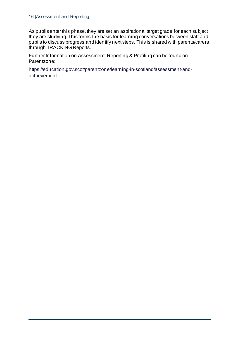As pupils enter this phase, they are set an aspirational target grade for each subject they are studying. This forms the basis for learning conversations between staff and pupils to discuss progress and identify next steps. This is shared with parents/carers through TRACKING Reports.

Further Information on Assessment, Reporting & Profiling can be found on Parentzone:

https://education.gov.scot/parentzone/learning-in-scotland/assessment-andachievement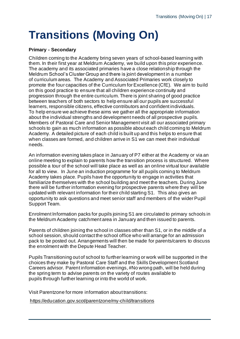# **Transitions (Moving On)**

#### **Primary - Secondary**

Children coming to the Academy bring seven years of school-based learning with them. In their first year at Meldrum Academy, we build upon this prior experience. The academy and its associated primaries have a close relationship through the Meldrum School's Cluster Group and there is joint development in a number of curriculum areas. The Academy and Associated Primaries work closely to promote the four capacities of the Curriculum for Excellence (CfE). We aim to build on this good practice to ensure that all children experience continuity and progression through the entire curriculum. There is joint sharing of good practice between teachers of both sectors to help ensure all our pupils are successful learners, responsible citizens, effective contributors and confident individuals. To help ensure we achieve these aims we gather all the appropriate information about the individual strengths and development needs of all prospective pupils. Members of Pastoral Care and Senior Management visit all our associated primary schools to gain as much information as possible about each child coming to Meldrum Academy. A detailed picture of each child is built up and this helps to ensure that when classes are formed, and children arrive in S1 we can meet their individual needs.

An information evening takes place in January of P7 either at the Academy or via an online meeting to explain to parents how the transition process is structured. Where possible a tour of the school will take place as well as an online virtual tour available for all to view. In June an induction programme for all pupils coming to Meldrum Academy takes place. Pupils have the opportunity to engage in activities that familiarize themselves with the school building and meet the teachers. During June there will be further information evening for prospective parents where they will be updated with relevant information for their child starting S1. This also gives an opportunity to ask questions and meet senior staff and members of the wider Pupil Support Team.

Enrolment Information packs for pupils joining S1 are circulated to primary schools in the Meldrum Academy catchment area in January and then issued to parents.

Parents of children joining the school in classes other than S1, or in the middle of a school session, should contact the school office who will arrange for an admission pack to be posted out. Arrangements will then be made for parents/carers to discuss the enrolment with the Depute Head Teacher.

Pupils Transitioning out of school to further learning or work will be supported in the choices they make by Pastoral Care Staff and the Skills Development Scotland Careers advisor. Parent information evenings, #No wrong path, will be held during the spring term to advise parents on the variety of routes available to pupils through further learning or into the world of work.

Visit Parentzone for more information about transitions:

https://education.gov.scot/parentzone/my-child/transitions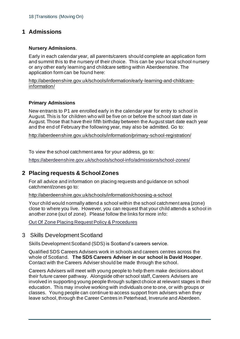# **1 Admissions**

#### **Nursery Admissions**.

Early in each calendar year, all parents/carers should complete an application form and summit this to the nursery of their choice. This can be your local school nursery or any other early learning and childcare setting within Aberdeenshire. The application form can be found here:

http://aberdeenshire.gov.uk/schools/information/early-learning-and-childcareinformation/

#### **Primary Admissions**

New entrants to P1 are enrolled early in the calendar year for entry to school in August. This is for children who will be five on or before the school start date in August. Those that have their fifth birthday between the August start date each year and the end of February the following year, may also be admitted. Go to:

http://aberdeenshire.gov.uk/schools/information/primary-school-registration/

To view the school catchment area for your address, go to:

https://aberdeenshire.gov.uk/schools/school-info/admissions/school-zones/

# **2 Placing requests & School Zones**

For all advice and information on placing requests and guidance on school catchment/zones go to:

http://aberdeenshire.gov.uk/schools/information/choosing-a-school

Your child would normally attend a school within the school catchment area (zone) close to where you live. However, you can request that your child attends a school in another zone (out of zone). Please follow the links for more info:

Out Of Zone Placing Request Policy & Procedures

### 3 Skills Development Scotland

Skills Development Scotland (SDS) is Scotland's careers service.

Qualified SDS Careers Advisers work in schools and careers centres across the whole of Scotland. **The SDS Careers Adviser in our school is David Hooper**. Contact with the Careers Adviser should be made through the school.

Careers Advisers will meet with young people to help them make decisions about their future career pathway. Alongside other school staff, Careers Advisers are involved in supporting young people through subject choice at relevant stages in their education. This may involve working with individuals one to one, or with groups or classes. Young people can continue to access support from advisers when they leave school, through the Career Centres in Peterhead, Inverurie and Aberdeen.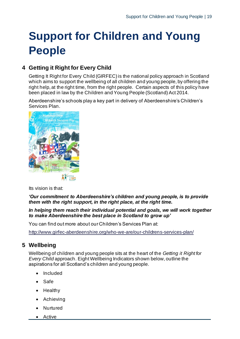# **Support for Children and Young People**

# **4 Getting it Right for Every Child**

Getting It Right for Every Child (GIRFEC) is the national policy approach in Scotland which aims to support the wellbeing of all children and young people, by offering the right help, at the right time, from the right people. Certain aspects of this policy have been placed in law by the Children and Young People (Scotland) Act 2014.

Aberdeenshire's schools play a key part in delivery of Aberdeenshire's Children's Services Plan.



Its vision is that:

*'Our commitment to Aberdeenshire's children and young people, is to provide them with the right support, in the right place, at the right time.*

#### *In helping them reach their individual potential and goals, we will work together to make Aberdeenshire the best place in Scotland to grow up'*

You can find out more about our Children's Services Plan at:

http://www.girfec-aberdeenshire.org/who-we-are/our-childrens-services-plan/

# **5 Wellbeing**

Wellbeing of children and young people sits at the heart of the *Getting it Right for Every Child* approach. Eight Wellbeing Indicators shown below, outline the aspirations for all Scotland's children and young people.

- Included
- Safe
- Healthy
- **Achieving**
- **Nurtured**
- Active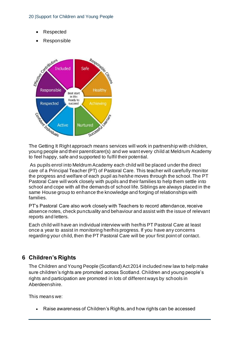#### 20 |Support for Children and Young People

- **Respected**
- Responsible



The Getting It Right approach means services will work in partnership with children, young people and their parent/carer(s) and we want every child at Meldrum Academy to feel happy, safe and supported to fulfil their potential.

As pupils enrol into Meldrum Academy each child will be placed under the direct care of a Principal Teacher (PT) of Pastoral Care. This teacher will carefully monitor the progress and welfare of each pupil as he/she moves through the school. The PT Pastoral Care will work closely with pupils and their families to help them settle into school and cope with all the demands of school life. Siblings are always placed in the same House group to enhance the knowledge and forging of relationships with families.

PT's Pastoral Care also work closely with Teachers to record attendance, receive absence notes, check punctuality and behaviour and assist with the issue of relevant reports and letters.

Each child will have an individual interview with her/his PT Pastoral Care at least once a year to assist in monitoring her/his progress. If you have any concerns regarding your child, then the PT Pastoral Care will be your first point of contact.

# **6 Children's Rights**

The Children and Young People (Scotland) Act 2014 included new law to help make sure children's rights are promoted across Scotland. Children and young people's rights and participation are promoted in lots of different ways by schools in Aberdeenshire.

This means we:

• Raise awareness of Children's Rights, and how rights can be accessed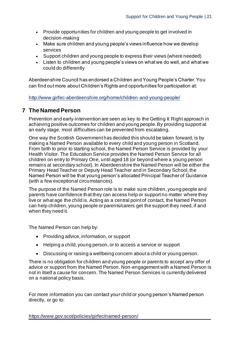- Provide opportunities for children and young people to get involved in decision-making
- Make sure children and young people's views influence how we develop services
- Support children and young people to express their views (where needed)
- Listen to children and young people's views on what we do well, and what we could do differently

Aberdeenshire Council has endorsed a Children and Young People's Charter. You can find out more about Children's Rights and opportunities for participation at:

http://www.girfec-aberdeenshire.org/home/children-and-young-people/

# **7 The Named Person**

Prevention and early-intervention are seen as key to the Getting It Right approach in achieving positive outcomes for children and young people. By providing support at an early stage, most difficulties can be prevented from escalating.

One way the Scottish Government has decided this should be taken forward, is by making a Named Person available to every child and young person in Scotland. From birth to prior to starting school, the Named Person Service is provided by your Health Visitor. The Education Service provides the Named Person Service for all children on entry to Primary One, until aged 18 (or beyond where a young person remains at secondary school). In Aberdeenshire the Named Person will be either the Primary Head Teacher or Deputy Head Teacher and in Secondary School, the Named Person will be that young person's allocated Principal Teacher of Guidance (with a few exceptional circumstances).

The purpose of the Named Person role is to make sure children, young people and parents have confidence that they can access help or support no matter where they live or what age the child is. Acting as a central point of contact, the Named Person can help children, young people or parents/carers get the support they need, if and when they need it.

The Named Person can help by:

- Providing advice, information, or support
- Helping a child, young person, or to access a service or support
- Discussing or raising a wellbeing concern about a child or young person.

There is no obligation for children and young people or parents to accept any offer of advice or support from the Named Person. Non-engagement with a Named Person is not in itself a cause for concern. The Named Person Services is currently delivered on a national policy basis.

For more information you can contact your child or young person's Named person directly, or go to: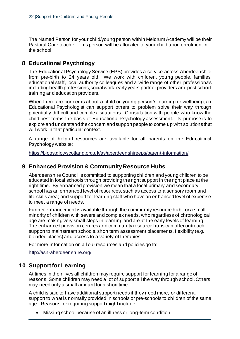The Named Person for your child/young person within Meldrum Academy will be their Pastoral Care teacher. This person will be allocated to your child upon enrolment in the school.

# **8 Educational Psychology**

The Educational Psychology Service (EPS) provides a service across Aberdeenshire from pre-birth to 24 years old. We work with children, young people, families, educational staff, local authority colleagues and a wide range of other professionals including health professions, social work, early years partner providers and post school training and education providers.

When there are concerns about a child or young person's learning or wellbeing, an Educational Psychologist can support others to problem solve their way through potentially difficult and complex situations. Consultation with people who know the child best forms the basis of Educational Psychology assessment. Its purpose is to explore and understand the concern and support people to come up with solutions that will work in that particular context.

A range of helpful resources are available for all parents on the Educational Psychology website:

https://blogs.glowscotland.org.uk/as/aberdeenshireeps/parent-information/

# **9 Enhanced Provision & Community Resource Hubs**

Aberdeenshire Council is committed to supporting children and young children to be educated in local schools through providing the right support in the right place at the right time. By enhanced provision we mean that a local primary and secondary school has an enhanced level of resources, such as access to a sensory room and life skills area; and support for learning staff who have an enhanced level of expertise to meet a range of needs.

Further enhancement is available through the community resource hub, for a small minority of children with severe and complex needs, who regardless of chronological age are making very small steps in learning and are at the early levels of learning. The enhanced provision centres and community resource hubs can offer outreach support to mainstream schools, short term assessment placements, flexibility (e.g. blended places) and access to a variety of therapies.

For more information on all our resources and policies go to:

http://asn-aberdeenshire.org/

# **10 Support for Learning**

At times in their lives all children may require support for learning for a range of reasons. Some children may need a lot of support all the way through school. Others may need only a small amount for a short time.

A child is said to have additional support needs if they need more, or different, support to what is normally provided in schools or pre-schools to children of the same age. Reasons for requiring support might include:

• Missing school because of an illness or long-term condition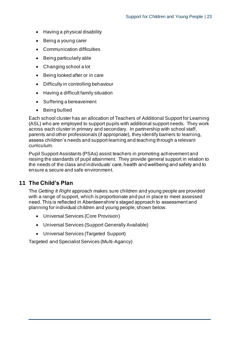- Having a physical disability
- Being a young carer
- Communication difficulties
- Being particularly able
- Changing school a lot
- Being looked after or in care
- Difficulty in controlling behaviour
- Having a difficult family situation
- Suffering a bereavement
- Being bullied

Each school cluster has an allocation of Teachers of Additional Support for Learning (ASL) who are employed to support pupils with additional support needs. They work across each cluster in primary and secondary. In partnership with school staff, parents and other professionals (if appropriate), they identify barriers to learning, assess children's needs and support learning and teaching through a relevant curriculum.

Pupil Support Assistants (PSAs) assist teachers in promoting achievement and raising the standards of pupil attainment. They provide general support in relation to the needs of the class and individuals' care, health and wellbeing and safety and to ensure a secure and safe environment.

# **11 The Child's Plan**

The *Getting It Right* approach makes sure children and young people are provided with a range of support, which is proportionate and put in place to meet assessed need. This is reflected in Aberdeenshire's staged approach to assessment and planning for individual children and young people, shown below.

- Universal Services (Core Provision)
- Universal Services (Support Generally Available)
- Universal Services (Targeted Support)

Targeted and Specialist Services (Multi-Agancy)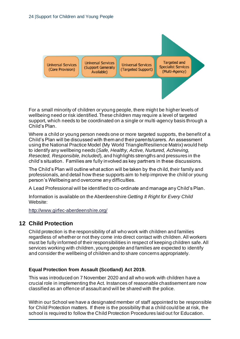**Universal Services** (Core Provision)

**Universal Services** (Support Generally Available)

**Universal Services** (Targeted Support)

**Targeted and Specialist Services** (Multi-Agency)

For a small minority of children or young people, there might be higher levels of wellbeing need or risk identified. These children may require a level of targeted support, which needs to be coordinated on a single or multi-agency basis through a Child's Plan.

Where a child or young person needs one or more targeted supports, the benefit of a Child's Plan will be discussed with them and their parents/carers. An assessment using the National Practice Model (My World Triangle/Resilience Matrix) would help to identify any wellbeing needs (*Safe, Healthy, Active, Nurtured, Achieving, Resected, Responsible, Included*), and highlights strengths and pressures in the child's situation. Families are fully involved as key partners in these discussions.

The Child's Plan will outline what action will be taken by the ch ild, their family and professionals, and detail how these supports aim to help improve the child or young person's Wellbeing and overcome any difficulties.

A Lead Professional will be identified to co-ordinate and manage any Child's Plan.

Information is available on the Aberdeenshire *Getting It Right for Every Child* Website:

http://www.girfec-aberdeenshire.org/

# **12 Child Protection**

Child protection is the responsibility of all who work with children and families regardless of whether or not they come into direct contact with children. All workers must be fully informed of their responsibilities in respect of keeping children safe. All services working with children, young people and families are expected to identify and consider the wellbeing of children and to share concerns appropriately.

### **Equal Protection from Assault (Scotland) Act 2019.**

This was introduced on 7 November 2020 and all who work with children have a crucial role in implementing the Act. Instances of reasonable chastisement are now classified as an offence of assault and will be shared with the police.

Within our School we have a designated member of staff appointed to be responsible for Child Protection matters. If there is the possibility that a child could be at risk, the school is required to follow the Child Protection Procedures laid out for Education.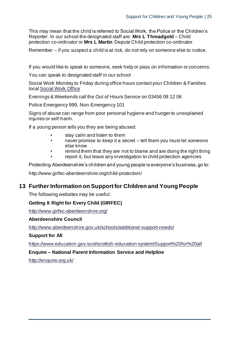This may mean that the child is referred to Social Work, the Police or the Children's Reporter. In our school the designated staff are: **Mrs L Threadgold** – Child protection co-ordinator or **Mrs L Martin** Depute Child protection co-ordinator.

Remember – if you suspect a child is at risk, do not rely on someone else to notice.

If you would like to speak to someone, seek help or pass on information or concerns:

You can speak to designated staff in our school

Social Work Monday to Friday during office hours contact your Children & Families local Social Work Office

Evenings & Weekends call the Out of Hours Service on 03456 08 12 06

Police Emergency 999, Non-Emergency 101

Signs of abuse can range from poor personal hygiene and hunger to unexplained injuries or self-harm.

If a young person tells you they are being abused:

- stay calm and listen to them
- never promise to keep it a secret tell them you must let someone else know
- remind them that they are not to blame and are doing the right thing
- report it, but leave any investigation to child protection agencies

Protecting Aberdeenshire's children and young people is everyone's business, go to:

http://www.girfec-aberdeenshire.org/child-protection/

# **13 Further Information on Supportfor Children and Young People**

The following websites may be useful:

### **Getting It Right for Every Child (GIRFEC)**

http://www.girfec-aberdeenshire.org/

#### **Aberdeenshire Council**

http://www.aberdeenshire.gov.uk/schools/additional-support-needs/

#### **Support for All**

https://www.education.gov.scot/scottish-education-system/Support%20for%20all

#### **Enquire – National Parent Information Service and Helpline**

http://enquire.org.uk/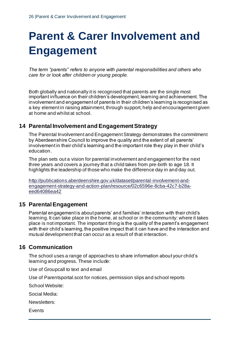# **Parent & Carer Involvement and Engagement**

*The term "parents" refers to anyone with parental responsibilities and others who care for or look after children or young people.*

Both globally and nationally it is recognised that parents are the single most important influence on their children's development, learning and achievement. The involvement and engagement of parents in their children's learning is recognised as a key element in raising attainment, through support, help and encouragement given at home and whilst at school.

# **14 Parental Involvement and Engagement Strategy**

The Parental Involvement and Engagement Strategy demonstrates the commitment by Aberdeenshire Council to improve the quality and the extent of all parents' involvement in their child's learning and the important role they play in their child's education.

The plan sets out a vision for parental involvement and engagement for the next three years and covers a journey that a child takes from pre-birth to age 18. It highlights the leadership of those who make the difference day in and day out.

http://publications.aberdeenshire.gov.uk/dataset/parental-involvement-andengagement-strategy-and-action-plan/resource/02c6596e-8cba-42c7-b28aeed64086ea42

# **15 Parental Engagement**

Parental engagement is about parents' and families' interaction with their child's learning. It can take place in the home, at school or in the community: where it takes place is not important. The important thing is the quality of the parent's engagement with their child's learning, the positive impact that it can have and the interaction and mutual development that can occur as a result of that interaction.

# **16 Communication**

The school uses a range of approaches to share information about your child's learning and progress. These include:

Use of Groupcall to text and email

Use of Parentsportal.scot for notices, permission slips and school reports

School Website:

Social Media:

Newsletters:

**Events**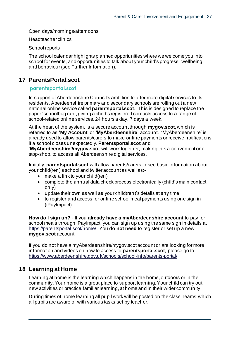Open days/mornings/afternoons

Headteacher clinics

School reports

The school calendar highlights planned opportunities where we welcome you into school for events, and opportunities to talk about your child's progress, wellbeing, and behaviour (see Further Information).

# **17 ParentsPortal.scot**

# parentsportal.scot

In support of Aberdeenshire Council's ambition to offer more digital services to its residents, Aberdeenshire primary and secondary schools are rolling out a new national online service called **parentsportal.scot**. This is designed to replace the paper 'schoolbag run', giving a child's registered contacts access to a range of school-related online services, 24 hours a day, 7 days a week.

At the heart of the system, is a secure account through **mygov.scot,** which is referred to as '**My Account**' or **'MyAberdeenshire'** account. 'MyAberdeenshire' is already used to allow parents/carers to make online payments or receive notifications if a school closes unexpectedly. **Parentsportal.scot** and

'**MyAberdeenshire'/mygov.scot** will work together, making this a convenient onestop-shop, to access all Aberdeenshire digital services.

Initially, **parentsportal.scot** will allow parents/carers to see basic information about your child(ren)'s school and twitter account as well as:-

- make a link to your child(ren)
- complete the annual data check process electronically (child's main contact only)
- update their own as well as your child(ren)'s details at any time
- to register and access for online school meal payments using one sign in (iPayImpact)

**How do I sign up?** - If you **already have a myAberdeenshire account** to pay for school meals through iPayImpact, you can sign up using the same sign in details at https://parentsportal.scot/home/ You **do not need** to register or set up a new **mygov.scot** account.

If you do not have a myAberdeenshire/mygov.scot account or are looking for more information and videos on how to access to **parentsportal.scot**, please go to https://www.aberdeenshire.gov.uk/schools/school-info/parents-portal/

# **18 Learning at Home**

Learning at home is the learning which happens in the home, outdoors or in the community. Your home is a great place to support learning. Your child can try out new activities or practice familiar learning, at home and in their wider community.

During times of home learning all pupil work will be posted on the class Teams which all pupils are aware of with various tasks set by teacher.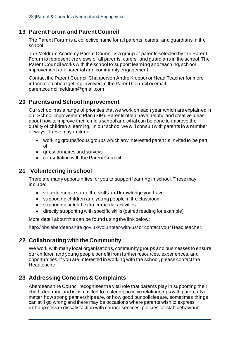# **19 Parent Forum and Parent Council**

The Parent Forum is a collective name for all parents, carers, and guardians in the school.

The Meldrum Academy Parent Council is a group of parents selected by the Parent Forum to represent the views of all parents, carers, and guardians in the school. The Parent Council works with the school to support learning and teaching, sch ool improvement and parental and community engagement.

Contact the Parent Council Chairperson Andre Klopper or Head Teacher for more information about getting involved in the Parent Council or email: parentcouncilmeldrum@gmail.com

# **20 Parents and School Improvement**

Our school has a range of priorities that we work on each year which are explained in our School Improvement Plan (SIP). Parents often have helpful and creative ideas about how to improve their child's school and what can be done to improve the quality of children's learning. In our school we will consult with parents in a number of ways. These may include:

- working groups/focus groups which any interested parent is invited to be part of
- questionnaires and surveys
- consultation with the Parent Council

# **21 Volunteering in school**

There are many opportunities for you to support learning in school. These may include:

- volunteering to share the skills and knowledge you have
- supporting children and young people in the classroom
- supporting or lead extra-curricular activities
- directly supporting with specific skills (paired reading for example)

More detail about this can be found using the link below:

http://jobs.aberdeenshire.gov.uk/volunteer-with-us/ or contact your Head teacher.

# **22 Collaborating with the Community**

We work with many local organisations, community groups and businesses to ensure our children and young people benefit from further resources, experiences, and opportunities. If you are interested in working with the school, please contact the **Headteacher** 

# **23 Addressing Concerns & Complaints**

Aberdeenshire Council recognises the vital role that parents play in supporting their child's learning and is committed to fostering positive relationships with parents. No matter how strong partnerships are, or how good our policies are, sometimes things can still go wrong and there may be occasions where parents wish to express unhappiness or dissatisfaction with council services, policies, or staff behaviour.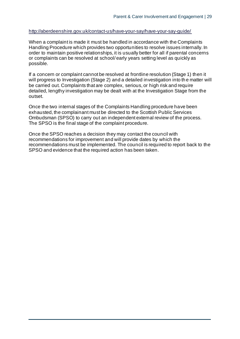#### http://aberdeenshire.gov.uk/contact-us/have-your-say/have-your-say-guide/

When a complaint is made it must be handled in accordance with the Complaints Handling Procedure which provides two opportunities to resolve issues internally. In order to maintain positive relationships, it is usually better for all if parental concerns or complaints can be resolved at school/ early years setting level as quickly as possible.

If a concern or complaint cannot be resolved at frontline resolution (Stage 1) then it will progress to Investigation (Stage 2) and a detailed investigation into th e matter will be carried out. Complaints that are complex, serious, or high risk and require detailed, lengthy investigation may be dealt with at the Investigation Stage from the outset.

Once the two internal stages of the Complaints Handling procedure have been exhausted, the complainant must be directed to the Scottish Public Services Ombudsman (SPSO) to carry out an independent external review of the process. The SPSO is the final stage of the complaint procedure.

Once the SPSO reaches a decision they may contact the council with recommendations for improvement and will provide dates by which the recommendations must be implemented. The council is required to report back to the SPSO and evidence that the required action has been taken.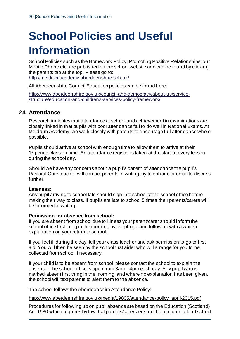# **School Policies and Useful Information**

School Policies such as the Homework Policy; Promoting Positive Relationships; our Mobile Phone etc. are published on the school website and can be found by clicking the parents tab at the top. Please go to: http://meldrumacademy.aberdeenshire.sch.uk/

All Aberdeenshire Council Education policies can be found here:

http://www.aberdeenshire.gov.uk/council-and-democracy/about-us/servicestructure/education-and-childrens-services-policy-framework/

# **24 Attendance**

Research indicates that attendance at school and achievement in examinations are closely linked in that pupils with poor attendance fail to do well in National Exams. At Meldrum Academy, we work closely with parents to encourage full attendance where possible.

Pupils should arrive at school with enough time to allow them to arrive at their 1<sup>st</sup> period class on time. An attendance register is taken at the start of every lesson during the school day.

Should we have any concerns about a pupil's pattern of attendance the pupil's Pastoral Care teacher will contact parents in writing, by telephone or email to discuss further.

#### **Lateness**:

Any pupil arriving to school late should sign into school at the school office before making their way to class. If pupils are late to school 5 times their parents/carers will be informed in writing.

#### **Permission for absence from school:**

If you are absent from school due to illness your parent/carer should inform the school office first thing in the morning by telephone and follow up with a written explanation on your return to school.

If you feel ill during the day, tell your class teacher and ask permission to go to first aid. You will then be seen by the school first aider who will arrange for you to be collected from school if necessary.

If your child is to be absent from school, please contact the school to explain the absence. The school office is open from 8am - 4pm each day. Any pupil who is marked absent first thing in the morning, and where no explanation has been given, the school will text parents to alert them to the absence.

The school follows the Aberdeenshire Attendance Policy:

http://www.aberdeenshire.gov.uk/media/19805/attendance-policy\_april-2015.pdf

Procedures for following up on pupil absence are based on the Education (Scotland) Act 1980 which requires by law that parents/carers ensure that children attend school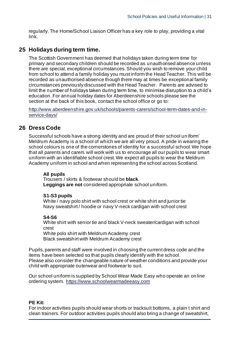regularly. The Home/School Liaison Officer has a key role to play, providing a vital link.

# **25 Holidays during term time.**

The Scottish Government has deemed that holidays taken during term time for primary and secondary children should be recorded as unauthorised absence unless there are special, exceptional circumstances. Should you wish to remove your child from school to attend a family holiday you must inform the Head Teacher. This will be recorded as unauthorised absence though there may at times be exceptional family circumstances previously discussed with the Head Teacher. Parents are advised to limit the number of holidays taken during term time, to minimise disruption to a child's education. For annual holiday dates for Aberdeenshire schools please see the section at the back of this book, contact the school office or go to:

http://www.aberdeenshire.gov.uk/schools/parents-carers/school-term-dates-and-inservice-days/

# **26 Dress Code**

Successful schools have a strong identity and are proud of their school un iform' Meldrum Academy is a school of which we are all very proud. A pride in wearing the school colours is one of the cornerstones of identity for a successful school. We hope that all parents and carers will work with us to encourage all our pupils to wear smart uniform with an identifiable school crest. We expect all pupils to wear the Meldrum Academy uniform in school and when representing the school across Scotland.

#### **All pupils**

Trousers / skirts & footwear should be **black**. **Leggings are not** considered appropriate school uniform.

#### **S1-S3 pupils**

White / navy polo shirt with school crest or white shirt and junior tie Navy sweatshirt / hoodie or navy V-neck cardigan with school crest

#### **S4-S6**

White shirt with senior tie and black V-neck sweater/cardigan with school crest White polo shirt with Meldrum Academy crest

Black sweatshirt with Meldrum Academy crest

Pupils, parents and staff were involved in choosing the current dress code and the items have been selected so that pupils clearly identify with the school. Please also consider the changeable nature of weather conditions and provide your child with appropriate outerwear and footwear to suit.

Our school uniform is supplied by School Wear Made Easy who operate an online ordering system. https://www.schoolwearmadeeasy.com

#### **PE Kit:**

For indoor activities pupils should wear shorts or tracksuit bottoms, a plain t shirt and clean trainers. For outdoor activities pupils should also bring a change of sweatshirt,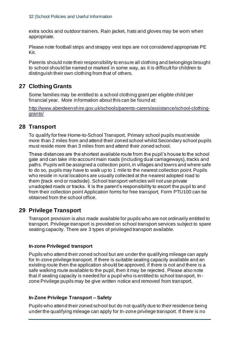extra socks and outdoor trainers. Rain jacket, hats and gloves may be worn when appropriate.

Please note football strips and strappy vest tops are not considered appropriate PE Kit.

Parents should note their responsibility to ensure all clothing and belongings brought to school should be named or marked in some way, as it is difficult for children to distinguish their own clothing from that of others.

# **27 Clothing Grants**

Some families may be entitled to a school clothing grant per eligible child per financial year. More information about this can be found at:

http://www.aberdeenshire.gov.uk/schools/parents-carers/assistance/school-clothinggrants/

# **28 Transport**

To qualify for free Home-to-School Transport, Primary school pupils must reside more than 2 miles from and attend their zoned school whilst Secondary school pupils must reside more than 3 miles from and attend their zoned school.

These distances are the shortest available route from the pupil's house to the school gate and can take into account main roads (including dual carriageways), tracks and paths. Pupils will be assigned a collection point, in villages and towns and where safe to do so, pupils may have to walk up to 1 mile to the nearest collection point. Pupils who reside in rural locations are usually collected at the nearest adopted road to them (track end or roadside). School transport vehicles will not use private unadopted roads or tracks. It is the parent's responsibility to escort the pupil to and from their collection point Application forms for free transport, Form PTU100 can be obtained from the school office.

# **29 Privilege Transport**

Transport provision is also made available for pupils who are not ordinarily entitled to transport. Privilege transport is provided on school transport services subject to spare seating capacity. There are 3 types of privileged transport available.

### **In-zone Privileged transport**

Pupils who attend their zoned school but are under the qualifying mileage can apply for In-zone privilege transport. If there is suitable seating capacity available and an existing route then the application should be approved, if there is not and there is a safe walking route available to the pupil, then it may be rejected. Please also note that if seating capacity is needed for a pupil who is entitled to school transport, In zone Privilege pupils may be give written notice and removed from transport.

### **In-Zone Privilege Transport – Safety**

Pupils who attend their zoned school but do not qualify due to their residence being under the qualifying mileage can apply for In-zone privilege transport. If there is no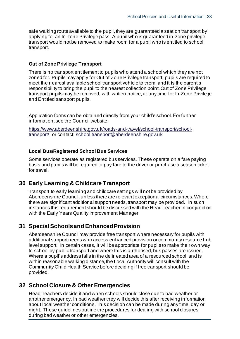safe walking route available to the pupil, they are guaranteed a seat on transport by applying for an In-zone Privilege pass. A pupil who is guaranteed in-zone privilege transport would not be removed to make room for a pupil who is entitled to school transport.

#### **Out of Zone Privilege Transport**

There is no transport entitlement to pupils who attend a school which they are not zoned for. Pupils may apply for Out of Zone Privilege transport; pupils are required to meet the nearest available school transport vehicle to them, and it is the parent's responsibility to bring the pupil to the nearest collection point. Out of Zone Privilege transport pupils may be removed, with written notice, at any time for In-Zone Privilege and Entitled transport pupils.

Application forms can be obtained directly from your child's school. For further information, see the Council website:

https://www.aberdeenshire.gov.uk/roads-and-travel/school-transport/schooltransport/ or contact: school.transport@aberdeenshire.gov.uk

#### **Local Bus/Registered School Bus Services**

Some services operate as registered bus services. These operate on a fare paying basis and pupils will be required to pay fare to the driver or purchase a season ticket for travel.

# **30 Early Learning & Childcare Transport**

Transport to early learning and childcare settings will not be provided by Aberdeenshire Council, unless there are relevant exceptional circumstances. Where there are significant additional support needs, transport may be provided. In such instances this requirement should be discussed with the Head Teacher in conjunction with the Early Years Quality Improvement Manager.

# **31 Special Schools and Enhanced Provision**

Aberdeenshire Council may provide free transport where necessary for pupils with additional support needs who access enhanced provision or community resource hub level support. In certain cases, it will be appropriate for pupils to make their own way to school by public transport and where this is authorised, bus passes are issued. Where a pupil's address falls in the delineated area of a resourced school, and is within reasonable walking distance, the Local Authority will consult with the Community Child Health Service before deciding if free transport should be provided.

## **32 School Closure & Other Emergencies**

Head Teachers decide if and when schools should close due to bad weather or another emergency. In bad weather they will decide this after receiving information about local weather conditions. This decision can be made during any time, day or night. These guidelines outline the procedures for dealing with school closures during bad weather or other emergencies.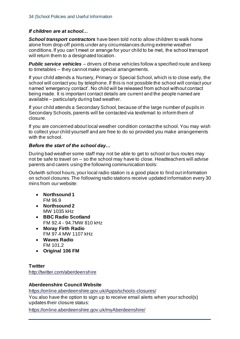### *If children are at school…*

*School transport contractors* have been told not to allow children to walk home alone from drop-off points under any circumstances during extreme weather conditions. If you can't meet or arrange for your child to be met, the school transport will return them to a designated location.

**Public service vehicles** – drivers of these vehicles follow a specified route and keep to timetables – they cannot make special arrangements.

If your child attends a Nursery, Primary or Special School, which is to close early, the school will contact you by telephone. If this is not possible the school will contact your named 'emergency contact'. No child will be released from school without contact being made. It is important contact details are current and the people named are available – particularly during bad weather.

If your child attends a Secondary School, because of the large number of pupils in Secondary Schools, parents will be contacted via text/email to inform them of closure.

If you are concerned about local weather condition contact the school. You may wish to collect your child yourself and are free to do so provided you make arrangements with the school.

#### *Before the start of the school day…*

During bad weather some staff may not be able to get to school or bus routes may not be safe to travel on – so the school may have to close. Headteachers will advise parents and carers using the following communication tools:

Outwith school hours, your local radio station is a good place to find out information on school closures. The following radio stations receive updated information every 30 mins from our website:

- **Northsound 1** FM 96.9
- **Northsound 2** MW 1035 kHz
- **BBC Radio Scotland** FM 92.4 - 94.7MW 810 kHz
- **Moray Firth Radio** FM 97.4 MW 1107 kHz
- **Waves Radio** FM 101.2
- **Original 106 FM**

### **Twitter**

http://twitter.com/aberdeenshire

### **Aberdeenshire Council Website**

https://online.aberdeenshire.gov.uk/Apps/schools-closures/

You also have the option to sign up to receive email alerts when your school(s) updates their closure status:

https://online.aberdeenshire.gov.uk/myAberdeenshire/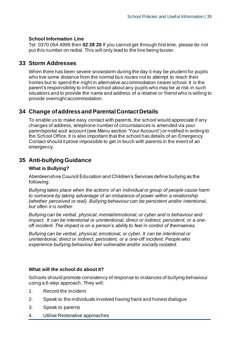#### **School Information Line**

Tel: 0370 054 4999 then **02 28 20** If you cannot get through first time, please do not put this number on redial. This will only lead to the line being busier.

# **33 Storm Addresses**

When there has been severe snowstorm during the day it may be prudent for pupils who live some distance from the normal bus routes not to attempt to reach their homes but to spend the night in alternative accommodation nearer school. It is the parent's responsibility to inform school about any pupils who may be at risk in such situations and to provide the name and address of a relative or friend who is willing to provide overnight accommodation.

# **34 Change of address and Parental Contact Details**

To enable us to make easy contact with parents, the school would appreciate if any changes of address, telephone number of circumstances is amended via your parentsportal.scot account (see Menu section 'Your Account') or notified in writing to the School Office. It is also important that the school has details of an Emergency Contact should it prove impossible to get in touch with parents in the event of an emergency.

# **35 Anti-bullying Guidance**

#### **What is Bullying?**

Aberdeenshire Council Education and Children's Services define bullying as the following:

*Bullying takes place when the actions of an individual or group of people cause harm to someone by taking advantage of an imbalance of power within a relationship (whether perceived or real). Bullying behaviour can be persistent and/or intentional, but often it is neither.*

*Bullying can be verbal, physical, mental/emotional, or cyber and is behaviour and impact. It can be intentional or unintentional, direct or indirect, persistent, or a oneoff incident. The impact is on a person's ability to feel in control of themselves.* 

*Bullying can be verbal, physical, emotional, or cyber. It can be intentional or unintentional, direct or indirect, persistent, or a one-off incident. People who experience bullying behaviour feel vulnerable and/or socially isolated.*

#### **What will the school do about it?**

Schools should promote consistency of response to instances of bullying behaviour using a 6-step approach. They will:

- 1. Record the Incident
- 2. Speak to the individuals involved having frank and honest dialogue
- 3. Speak to parents
- 4. Utilise Restorative approaches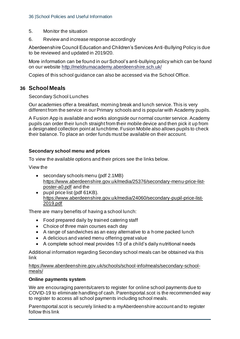- 5. Monitor the situation
- 6. Review and increase response accordingly

Aberdeenshire Council Education and Children's Services Anti-Bullying Policy is due to be reviewed and updated in 2019/20.

More information can be found in our School's anti-bullying policy which can be found on our website http://meldrumacademy.aberdeenshire.sch.uk/

Copies of this school guidance can also be accessed via the School Office.

# **36 School Meals**

Secondary School Lunches

Our academies offer a breakfast, morning break and lunch service. This is very different from the service in our Primary schools and is popular with Academy pupils.

A Fusion App is available and works alongside our normal counter service. Academy pupils can order their lunch straight from their mobile device and then pick it up from a designated collection point at lunchtime. Fusion Mobile also allows pupils to check their balance. To place an order funds must be available on their account.

#### **Secondary school menu and prices**

To view the available options and their prices see the links below.

View the

- secondary schools menu (pdf 2.1MB) https://www.aberdeenshire.gov.uk/media/25376/secondary-menu-price-listposter-a0.pdf and the
- pupil price list (pdf 61KB). https://www.aberdeenshire.gov.uk/media/24060/secondary-pupil-price-list-2019.pdf

There are many benefits of having a school lunch:

- Food prepared daily by trained catering staff
- Choice of three main courses each day
- A range of sandwiches as an easy alternative to a home packed lunch
- A delicious and varied menu offering great value
- A complete school meal provides 1/3 of a child's daily nutritional needs

Additional information regarding Secondary school meals can be obtained via this link

https://www.aberdeenshire.gov.uk/schools/school-info/meals/secondary-schoolmeals/

#### **Online payments system**

We are encouraging parents/carers to register for online school payments due to COVID-19 to eliminate handling of cash. Parentsportal.scot is the recommended way to register to access all school payments including school meals.

Parentsportal.scot is securely linked to a myAberdeenshire account and to register follow this link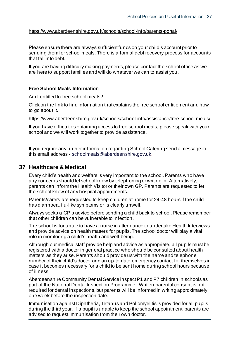#### https://www.aberdeenshire.gov.uk/schools/school-info/parents-portal/

Please ensure there are always sufficient funds on your child's account prior to sending them for school meals. There is a formal debt recovery process for accounts that fall into debt.

If you are having difficulty making payments, please contact the school office as we are here to support families and will do whatever we can to assist you.

#### **Free School Meals Information**

Am I entitled to free school meals?

Click on the link to find information that explains the free school entitlement and how to go about it.

https://www.aberdeenshire.gov.uk/schools/school-info/assistance/free-school-meals/

If you have difficulties obtaining access to free school meals, please speak with your school and we will work together to provide assistance.

If you require any further information regarding School Catering send a message to this email address - schoolmeals@aberdeenshire.gov.uk.

#### **37 Healthcare & Medical**

Every child's health and welfare is very important to the school. Parents who have any concerns should let school know by telephoning or writing in. Alternatively, parents can inform the Health Visitor or their own GP. Parents are requested to let the school know of any hospital appointments.

Parents/carers are requested to keep children at home for 24-48 hours if the child has diarrhoea, flu-like symptoms or is clearly unwell.

Always seeks a GP's advice before sending a child back to school. Please remember that other children can be vulnerable to infection.

The school is fortunate to have a nurse in attendance to undertake Health Interviews and provide advice on health matters for pupils. The school doctor will play a vital role in monitoring a child's health and well-being.

Although our medical staff provide help and advice as appropriate, all pupils must be registered with a doctor in general practice who should be consulted about health matters as they arise. Parents should provide us with the name and telephone number of their child's doctor and an up-to-date emergency contact for themselves in case it becomes necessary for a child to be sent home during school hours because of illness.

Aberdeenshire Community Dental Service inspect P1 and P7 children in schools as part of the National Dental Inspection Programme. Written parental consent is not required for dental inspections, but parents will be informed in writing approximately one week before the inspection date.

Immunisation against Diphtheria, Tetanus and Poliomyelitis is provided for all pupils during the third year. If a pupil is unable to keep the school appointment, parents are advised to request immunisation from their own doctor.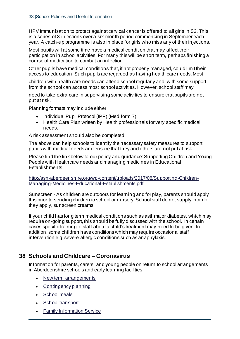HPV Immunisation to protect against cervical cancer is offered to all girls in S2. This is a series of 3 injections over a six-month period commencing in September each year. A catch-up programme is also in place for girls who miss any of their injections.

Most pupils will at some time have a medical condition that may affect their participation in school activities. For many this will be short term, perhaps finishing a course of medication to combat an infection.

Other pupils have medical conditions that, if not properly managed, could limit their access to education. Such pupils are regarded as having health care needs. Most

children with health care needs can attend school regularly and, with some support from the school can access most school activities. However, school staff may

need to take extra care in supervising some activities to ensure that pupils are not put at risk.

Planning formats may include either:

- Individual Pupil Protocol (IPP) (Med form 7).
- Health Care Plan written by Health professionals for very specific medical needs.

A risk assessment should also be completed.

The above can help schools to identify the necessary safety measures to support pupils with medical needs and ensure that they and others are not put at risk.

Please find the link below to our policy and guidance: Supporting Children and Young People with Healthcare needs and managing medicines in Educational **Establishments** 

http://asn-aberdeenshire.org/wp-content/uploads/2017/08/Supporting-Children-Managing-Medicines-Educational-Establishments.pdf

Sunscreen - As children are outdoors for learning and for play, parents should apply this prior to sending children to school or nursery. School staff do not supply, nor do they apply, sunscreen creams.

If your child has long term medical conditions such as asthma or diabetes, which may require on-going support, this should be fully discussed with the school. In certain cases specific training of staff about a child's treatment may need to be given. In addition, some children have conditions which may require occasional staff intervention e.g. severe allergic conditions such as anaphylaxis.

# **38 Schools and Childcare – Coronavirus**

Information for parents, carers, and young people on return to school arrangements in Aberdeenshire schools and early learning facilities.

- New term arrangements
- Contingency planning
- School meals
- School transport
- Family Information Service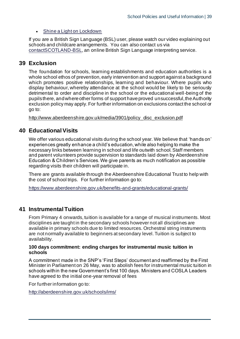#### • Shine a Light on Lockdown

If you are a British Sign Language (BSL) user, please watch our video explaining out schools and childcare arrangements. You can also contact us via contactSCOTLAND-BSL, an online British Sign Language interpreting service.

# **39 Exclusion**

The foundation for schools, learning establishments and education authorities is a whole school ethos of prevention, early intervention and support against a background which promotes positive relationships, learning and behaviour. Where pupils who display behaviour, whereby attendance at the school would be likely to be seriously detrimental to order and discipline in the school or the educational well-being of the pupils there, and where other forms of support have proved unsuccessful, the Authority exclusion policy may apply. For further information on exclusions contact the school or go to:

http://www.aberdeenshire.gov.uk/media/3901/policy\_disc\_exclusion.pdf

# **40 Educational Visits**

We offer various educational visits during the school year. We believe that 'hands on' experiences greatly enhance a child's education, while also helping to make the necessary links between learning in school and life outwith school. Staff members and parent volunteers provide supervision to standards laid down by Aberdeenshire Education & Children's Services. We give parents as much notification as possible regarding visits their children will participate in.

There are grants available through the Aberdeenshire Educational Trust to help with the cost of school trips. For further information go to:

https://www.aberdeenshire.gov.uk/benefits-and-grants/educational-grants/

# **41 Instrumental Tuition**

From Primary 4 onwards, tuition is available for a range of musical instruments. Most disciplines are taught in the secondary schools however not all disciplines are available in primary schools due to limited resources. Orchestral string instruments are not normally available to beginners at secondary level. Tuition is subject to availability.

#### **100 days commitment: ending charges for instrumental music tuition in schools**

A commitment made in the SNP's 'First Steps' document and reaffirmed by the First Minister in Parliament on 26 May, was to abolish fees for instrumental music tuition in schools within the new Government's first 100 days. Ministers and COSLA Leaders have agreed to the initial one-year removal of fees

For further information go to:

http://aberdeenshire.gov.uk/schools/ims/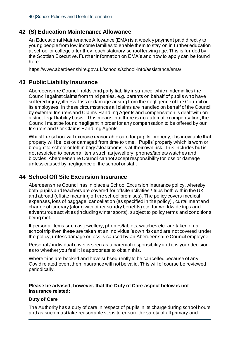# **42 (S) Education Maintenance Allowance**

An Educational Maintenance Allowance (EMA) is a weekly payment paid directly to young people from low income families to enable them to stay on in further education at school or college after they reach statutory school leaving age. This is funded by the Scottish Executive. Further information on EMA's and how to apply can be found here:

https://www.aberdeenshire.gov.uk/schools/school-info/assistance/ema/

# **43 Public Liability Insurance**

Aberdeenshire Council holds third party liability insurance, which indemnifies the Council against claims from third parties, e.g. parents on behalf of pupils who have suffered injury, illness, loss or damage arising from the negligence of the Council or its employees. In these circumstances all claims are handled on behalf of the Council by external Insurers and Claims Handling Agents and compensation is dealt with on a strict legal liability basis. This means that there is no automatic compensation, the Council must be found negligent in order for any compensation to be offered by our Insurers and / or Claims Handling Agents.

Whilst the school will exercise reasonable care for pupils' property, it is inevitable that property will be lost or damaged from time to time. Pupils' property which is worn or brought to school or left in bags/cloakrooms is at their own risk. This includes but is not restricted to personal items such as jewellery, phones/tablets watches and bicycles. Aberdeenshire Council cannot accept responsibility for loss or damage unless caused by negligence of the school or staff.

# **44 School Off Site Excursion Insurance**

Aberdeenshire Council has in place a School Excursion Insurance policy, whereby both pupils and teachers are covered for offsite activities / trips both within the UK and abroad (offsite meaning off the school premises). The policy covers medical expenses, loss of baggage, cancellation (as specified in the policy) , curtailment and change of itinerary (along with other sundry benefits) etc. for worldwide trips and adventurous activities (including winter sports), subject to policy terms and conditions being met.

If personal items such as jewellery, phones/tablets, watches etc. are taken on a school trip then these are taken at an individual's own risk and are not covered under the policy, unless damage or loss is caused by an Aberdeenshire Council employee.

Personal / individual cover is seen as a parental responsibility and it is your decision as to whether you feel it is appropriate to obtain this.

Where trips are booked and have subsequently to be cancelled because of any Covid related event then insurance will not be valid. This will of course be reviewed periodically.

#### **Please be advised, however, that the Duty of Care aspect below is not insurance related:**

### **Duty of Care**

The Authority has a duty of care in respect of pupils in its charge during school hours and as such must take reasonable steps to ensure the safety of all primary and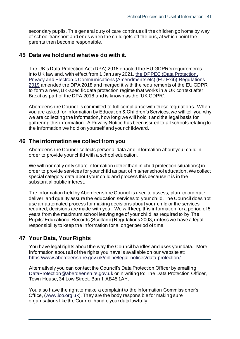secondary pupils. This general duty of care continues if the children go home by way of school transport and ends when the child gets off the bus, at which point the parents then become responsible.

# **45 Data we hold and what we do with it.**

The UK's Data Protection Act (DPA) 2018 enacted the EU GDPR's requirements into UK law and, with effect from 1 January 2021, the DPPEC (Data Protection, Privacy and Electronic Communications (Amendments etc) (EU Exit)) Regulations 2019 amended the DPA 2018 and merged it with the requirements of the EU GDPR to form a new, UK-specific data protection regime that works in a UK context after Brexit as part of the DPA 2018 and is known as the 'UK GDPR'.

Aberdeenshire Council is committed to full compliance with these regulations. When you are asked for information by Education & Children's Services, we will tell you why we are collecting the information, how long we will hold it and the legal basis for gathering this information. A Privacy Notice has been issued to all schools relating to the information we hold on yourself and your child/ward.

# **46 The information we collect from you**

Aberdeenshire Council collects personal data and information about your child in order to provide your child with a school education.

We will normally only share information (other than in child protection situations) in order to provide services for your child as part of his/her school education. We collect special category data about your child and process this because it is in the substantial public interest.

The information held by Aberdeenshire Council is used to assess, plan, coordinate, deliver, and quality assure the education services to your child. The Council does not use an automated process for making decisions about your child or the services required; decisions are made with you. We will keep this information for a period of 5 years from the maximum school leaving age of your child, as required to by The Pupils' Educational Records (Scotland) Regulations 2003, unless we have a legal responsibility to keep the information for a longer period of time.

# **47 Your Data, Your Rights**

You have legal rights about the way the Council handles and uses your data. More information about all of the rights you have is available on our website at: https://www.aberdeenshire.gov.uk/online/legal-notices/data-protection/

Alternatively you can contact the Council's Data Protection Officer by emailing DataProtection@aberdeenshire.gov.uk or in writing to: The Data Protection Officer, Town House, 34 Low Street, Banff, AB45 1AY.

You also have the right to make a complaint to the Information Commissioner's Office, (www.ico.org.uk). They are the body responsible for making sure organisations like the Council handle your data lawfully.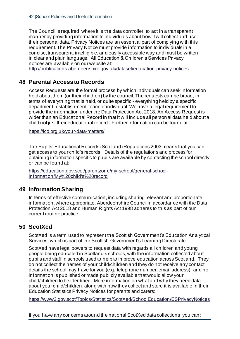The Council is required, where it is the data controller, to act in a transparent manner by providing information to individuals about how it will collect and use their personal data. Privacy Notices are an essential part of complying with this requirement. The Privacy Notice must provide information to individuals in a concise, transparent, intelligible, and easily accessible way and must be written in clear and plain language. All Education & Children's Services Privacy notices are available on our website at:

http://publications.aberdeenshire.gov.uk/dataset/education-privacy-notices.

# **48 Parental Access to Records**

Access Requests are the formal process by which individuals can seek information held about them (or their children) by the council. The requests can be broad, in terms of everything that is held, or quite specific - everything held by a specific department, establishment, team or individual. We have a legal requirement to provide the information under the Data Protection Act 2018. An Access Request is wider than an Educational Record in that it will include all person al data held about a child not just their educational record. Further information can be found at:

https://ico.org.uk/your-data-matters/

The Pupils' Educational Records (Scotland) Regulations 2003 means that you can get access to your child's records. Details of the regulations and process for obtaining information specific to pupils are available by contacting the school directly or can be found at:

https://education.gov.scot/parentzone/my-school/general-schoolinformation/My%20child's%20record

# **49 Information Sharing**

In terms of effective communication, including sharing relevant and proportionate information, where appropriate, Aberdeenshire Council in accordance with the Data Protection Act 2018 and Human Rights Act 1998 adheres to this as part of our current routine practice.

# **50 ScotXed**

ScotXed is a term used to represent the Scottish Government's Education Analytical Services, which is part of the Scottish Government's Learning Directorate.

ScotXed have legal powers to request data with regards all children and young people being educated in Scotland's schools, with the information collected about pupils and staff in schools used to help to improve education across Scotland. They do not collect the names of your child/children and they do not receive any contact details the school may have for you (e.g. telephone number, email address), and no information is published or made publicly available that would allow your child/children to be identified. More information on what and why they need data about your child/children, along with how they collect and store it is available in their Education Statistics Privacy Notices for parents and carers:

https://www2.gov.scot/Topics/Statistics/ScotXed/SchoolEducation/ESPrivacyNotices

If you have any concerns around the national ScotXed data collections, you can: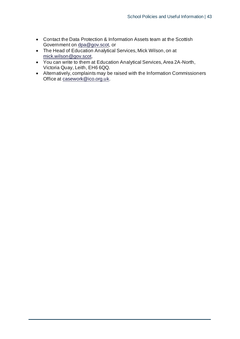- Contact the Data Protection & Information Assets team at the Scottish Government on dpa@gov.scot, or
- The Head of Education Analytical Services, Mick Wilson, on at mick.wilson@gov.scot,
- You can write to them at Education Analytical Services, Area 2A-North, Victoria Quay, Leith, EH6 6QQ.
- Alternatively, complaints may be raised with the Information Commissioners Office at casework@ico.org.uk.